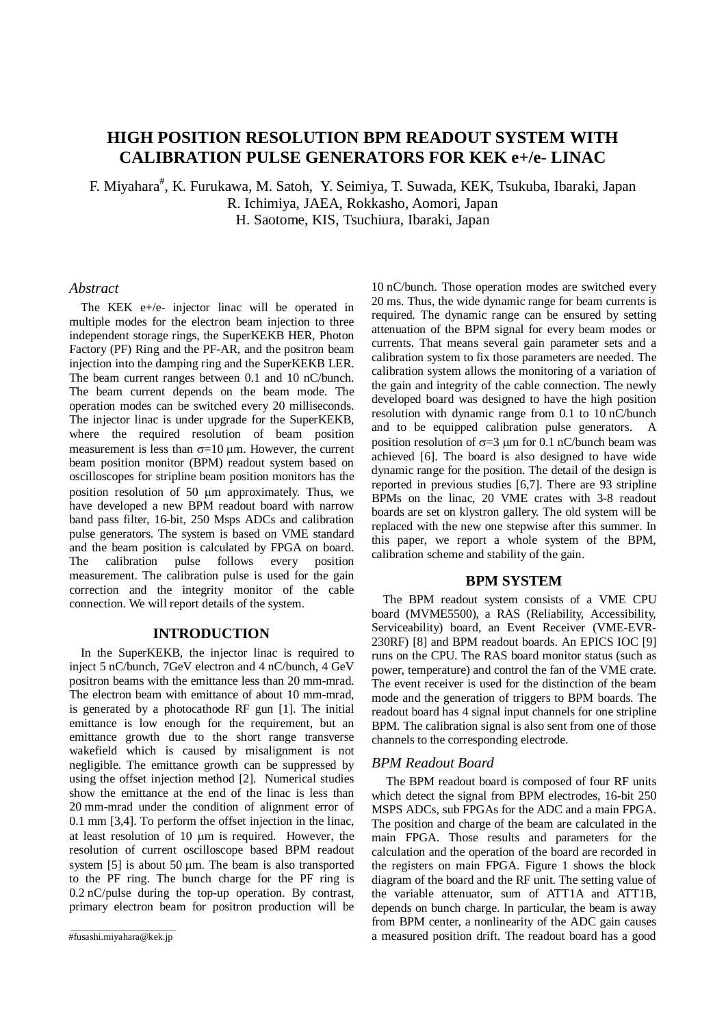# **HIGH POSITION RESOLUTION BPM READOUT SYSTEM WITH CALIBRATION PULSE GENERATORS FOR KEK e+/e- LINAC**

F. Miyahara<sup>#</sup>, K. Furukawa, M. Satoh, Y. Seimiya, T. Suwada, KEK, Tsukuba, Ibaraki, Japan R. Ichimiya, JAEA, Rokkasho, Aomori, Japan H. Saotome, KIS, Tsuchiura, Ibaraki, Japan

## *Abstract*

The KEK e+/e- injector linac will be operated in multiple modes for the electron beam injection to three independent storage rings, the SuperKEKB HER, Photon Factory (PF) Ring and the PF-AR, and the positron beam injection into the damping ring and the SuperKEKB LER. The beam current ranges between 0.1 and 10 nC/bunch. The beam current depends on the beam mode. The operation modes can be switched every 20 milliseconds. The injector linac is under upgrade for the SuperKEKB, where the required resolution of beam position measurement is less than  $\sigma$ =10  $\mu$ m. However, the current beam position monitor (BPM) readout system based on oscilloscopes for stripline beam position monitors has the position resolution of 50 µm approximately. Thus, we have developed a new BPM readout board with narrow band pass filter, 16-bit, 250 Msps ADCs and calibration pulse generators. The system is based on VME standard and the beam position is calculated by FPGA on board. The calibration pulse follows every position measurement. The calibration pulse is used for the gain correction and the integrity monitor of the cable connection. We will report details of the system.

## **INTRODUCTION**

In the SuperKEKB, the injector linac is required to inject 5 nC/bunch, 7GeV electron and 4 nC/bunch, 4 GeV positron beams with the emittance less than 20 mm-mrad. The electron beam with emittance of about 10 mm-mrad, is generated by a photocathode RF gun [1]. The initial emittance is low enough for the requirement, but an emittance growth due to the short range transverse wakefield which is caused by misalignment is not negligible. The emittance growth can be suppressed by using the offset injection method [2]. Numerical studies show the emittance at the end of the linac is less than 20 mm-mrad under the condition of alignment error of 0.1 mm [3,4]. To perform the offset injection in the linac, at least resolution of 10 µm is required. However, the resolution of current oscilloscope based BPM readout system [5] is about 50 µm. The beam is also transported to the PF ring. The bunch charge for the PF ring is 0.2 nC/pulse during the top-up operation. By contrast, primary electron beam for positron production will be

10 nC/bunch. Those operation modes are switched every 20 ms. Thus, the wide dynamic range for beam currents is required. The dynamic range can be ensured by setting attenuation of the BPM signal for every beam modes or currents. That means several gain parameter sets and a calibration system to fix those parameters are needed. The calibration system allows the monitoring of a variation of the gain and integrity of the cable connection. The newly developed board was designed to have the high position resolution with dynamic range from 0.1 to 10 nC/bunch and to be equipped calibration pulse generators. position resolution of  $\sigma = 3 \mu m$  for 0.1 nC/bunch beam was achieved [6]. The board is also designed to have wide dynamic range for the position. The detail of the design is reported in previous studies [6,7]. There are 93 stripline BPMs on the linac, 20 VME crates with 3-8 readout boards are set on klystron gallery. The old system will be replaced with the new one stepwise after this summer. In this paper, we report a whole system of the BPM, calibration scheme and stability of the gain.

# **BPM SYSTEM**

The BPM readout system consists of a VME CPU board (MVME5500), a RAS (Reliability, Accessibility, Serviceability) board, an Event Receiver (VME-EVR-230RF) [8] and BPM readout boards. An EPICS IOC [9] runs on the CPU. The RAS board monitor status (such as power, temperature) and control the fan of the VME crate. The event receiver is used for the distinction of the beam mode and the generation of triggers to BPM boards. The readout board has 4 signal input channels for one stripline BPM. The calibration signal is also sent from one of those channels to the corresponding electrode.

## *BPM Readout Board*

The BPM readout board is composed of four RF units which detect the signal from BPM electrodes, 16-bit 250 MSPS ADCs, sub FPGAs for the ADC and a main FPGA. The position and charge of the beam are calculated in the main FPGA. Those results and parameters for the calculation and the operation of the board are recorded in the registers on main FPGA. Figure 1 shows the block diagram of the board and the RF unit. The setting value of the variable attenuator, sum of ATT1A and ATT1B, depends on bunch charge. In particular, the beam is away from BPM center, a nonlinearity of the ADC gain causes a measured position drift. The readout board has a good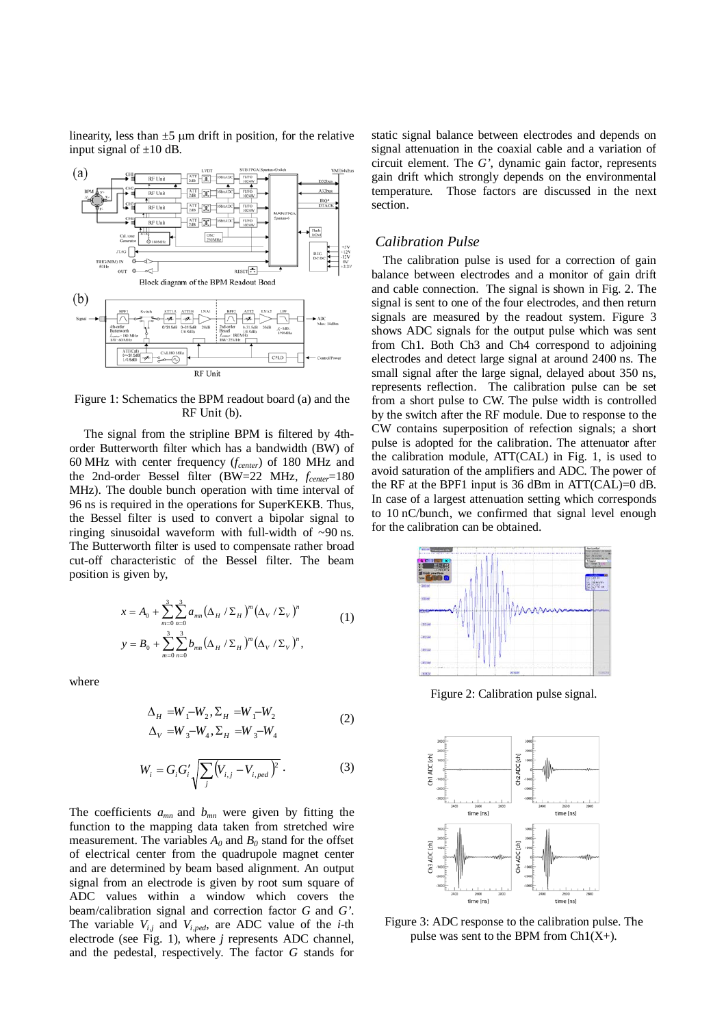linearity, less than  $\pm 5$  µm drift in position, for the relative input signal of  $\pm 10$  dB.



Figure 1: Schematics the BPM readout board (a) and the RF Unit (b).

The signal from the stripline BPM is filtered by 4thorder Butterworth filter which has a bandwidth (BW) of 60 MHz with center frequency (*fcenter*) of 180 MHz and the 2nd-order Bessel filter (BW=22 MHz,  $f_{center}$ =180 MHz). The double bunch operation with time interval of 96 ns is required in the operations for SuperKEKB. Thus, the Bessel filter is used to convert a bipolar signal to ringing sinusoidal waveform with full-width of  $\sim 90$  ns. The Butterworth filter is used to compensate rather broad cut-off characteristic of the Bessel filter. The beam position is given by,

$$
x = A_0 + \sum_{m=0}^{3} \sum_{n=0}^{3} a_{mn} (\Delta_H / \Sigma_H)^m (\Delta_V / \Sigma_V)^n
$$
  

$$
y = B_0 + \sum_{m=0}^{3} \sum_{n=0}^{3} b_{mn} (\Delta_H / \Sigma_H)^m (\Delta_V / \Sigma_V)^n,
$$
 (1)

where

$$
\Delta_{H} = W_{1} - W_{2}, \Sigma_{H} = W_{1} - W_{2}
$$
\n
$$
\Delta_{V} = W_{3} - W_{4}, \Sigma_{H} = W_{3} - W_{4}
$$
\n(2)

$$
W_i = G_i G_i' \sqrt{\sum_j (V_{i,j} - V_{i,ped})^2}.
$$
 (3)

The coefficients  $a_{mn}$  and  $b_{mn}$  were given by fitting the function to the mapping data taken from stretched wire measurement. The variables  $A_0$  and  $B_0$  stand for the offset of electrical center from the quadrupole magnet center and are determined by beam based alignment. An output signal from an electrode is given by root sum square of ADC values within a window which covers the beam/calibration signal and correction factor *G* and *G'*. The variable  $V_{i,j}$  and  $V_{i,ped}$ , are ADC value of the *i*-th electrode (see Fig. 1), where *j* represents ADC channel, and the pedestal, respectively. The factor *G* stands for

static signal balance between electrodes and depends on signal attenuation in the coaxial cable and a variation of circuit element. The *G'*, dynamic gain factor, represents gain drift which strongly depends on the environmental temperature. Those factors are discussed in the next section.

# *Calibration Pulse*

The calibration pulse is used for a correction of gain balance between electrodes and a monitor of gain drift and cable connection. The signal is shown in Fig. 2. The signal is sent to one of the four electrodes, and then return signals are measured by the readout system. Figure 3 shows ADC signals for the output pulse which was sent from Ch1. Both Ch3 and Ch4 correspond to adjoining electrodes and detect large signal at around 2400 ns. The small signal after the large signal, delayed about 350 ns, represents reflection. The calibration pulse can be set from a short pulse to CW. The pulse width is controlled by the switch after the RF module. Due to response to the CW contains superposition of refection signals; a short pulse is adopted for the calibration. The attenuator after the calibration module, ATT(CAL) in Fig. 1, is used to avoid saturation of the amplifiers and ADC. The power of the RF at the BPF1 input is 36 dBm in ATT(CAL)=0 dB. In case of a largest attenuation setting which corresponds to 10 nC/bunch, we confirmed that signal level enough for the calibration can be obtained.



Figure 2: Calibration pulse signal.



Figure 3: ADC response to the calibration pulse. The pulse was sent to the BPM from  $Ch1(X+)$ .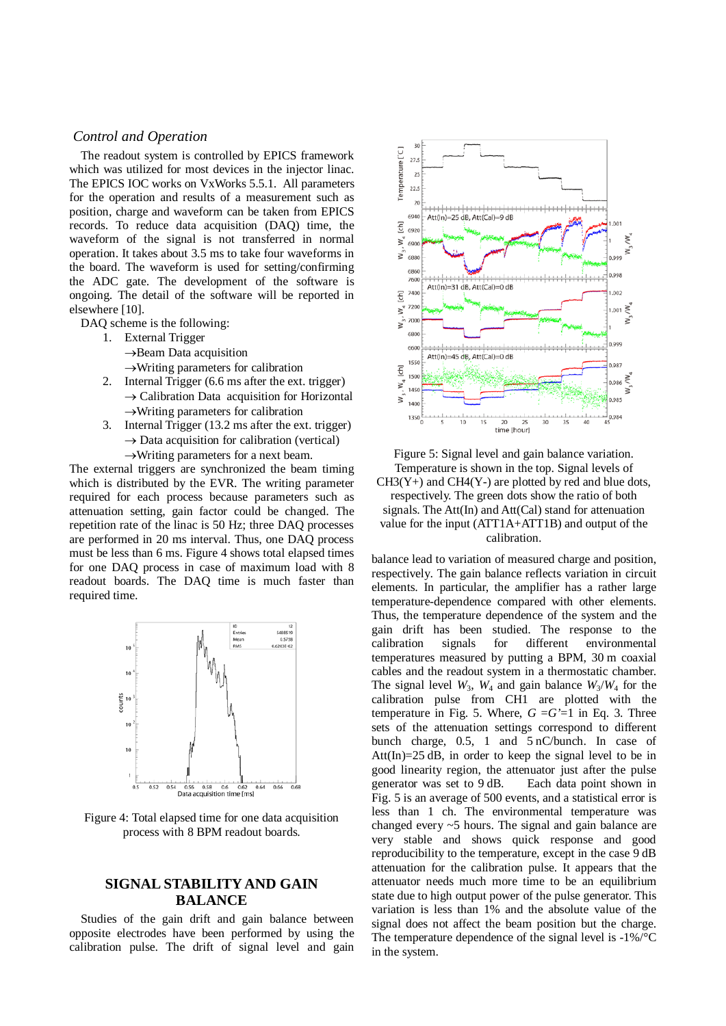## *Control and Operation*

The readout system is controlled by EPICS framework which was utilized for most devices in the injector linac. The EPICS IOC works on VxWorks 5.5.1. All parameters for the operation and results of a measurement such as position, charge and waveform can be taken from EPICS records. To reduce data acquisition (DAQ) time, the waveform of the signal is not transferred in normal operation. It takes about 3.5 ms to take four waveforms in the board. The waveform is used for setting/confirming the ADC gate. The development of the software is ongoing. The detail of the software will be reported in elsewhere [10].

DAQ scheme is the following:

- 1. External Trigger
	- →Beam Data acquisition

 $\rightarrow$ Writing parameters for calibration

- 2. Internal Trigger (6.6 ms after the ext. trigger)  $\rightarrow$  Calibration Data acquisition for Horizontal  $\rightarrow$ Writing parameters for calibration
- 3. Internal Trigger (13.2 ms after the ext. trigger)  $\rightarrow$  Data acquisition for calibration (vertical)
	- $\rightarrow$ Writing parameters for a next beam.

The external triggers are synchronized the beam timing which is distributed by the EVR. The writing parameter required for each process because parameters such as attenuation setting, gain factor could be changed. The repetition rate of the linac is 50 Hz; three DAQ processes are performed in 20 ms interval. Thus, one DAQ process must be less than 6 ms. Figure 4 shows total elapsed times for one DAQ process in case of maximum load with 8 readout boards. The DAQ time is much faster than required time.



Figure 4: Total elapsed time for one data acquisition process with 8 BPM readout boards.

# **SIGNAL STABILITY AND GAIN BALANCE**

Studies of the gain drift and gain balance between opposite electrodes have been performed by using the calibration pulse. The drift of signal level and gain



Figure 5: Signal level and gain balance variation. Temperature is shown in the top. Signal levels of  $CH3(Y+)$  and  $CH4(Y-)$  are plotted by red and blue dots, respectively. The green dots show the ratio of both signals. The Att(In) and Att(Cal) stand for attenuation value for the input (ATT1A+ATT1B) and output of the calibration.

balance lead to variation of measured charge and position, respectively. The gain balance reflects variation in circuit elements. In particular, the amplifier has a rather large temperature-dependence compared with other elements. Thus, the temperature dependence of the system and the gain drift has been studied. The response to the calibration signals for different environmental temperatures measured by putting a BPM, 30 m coaxial cables and the readout system in a thermostatic chamber. The signal level  $W_3$ ,  $W_4$  and gain balance  $W_3/W_4$  for the calibration pulse from CH1 are plotted with the temperature in Fig. 5. Where,  $G = G'=1$  in Eq. 3. Three sets of the attenuation settings correspond to different bunch charge, 0.5, 1 and 5 nC/bunch. In case of Att $(\text{In})$ =25 dB, in order to keep the signal level to be in good linearity region, the attenuator just after the pulse generator was set to 9 dB. Each data point shown in Fig. 5 is an average of 500 events, and a statistical error is less than 1 ch. The environmental temperature was changed every ~5 hours. The signal and gain balance are very stable and shows quick response and good reproducibility to the temperature, except in the case 9 dB attenuation for the calibration pulse. It appears that the attenuator needs much more time to be an equilibrium state due to high output power of the pulse generator. This variation is less than 1% and the absolute value of the signal does not affect the beam position but the charge. The temperature dependence of the signal level is -1%/°C in the system.